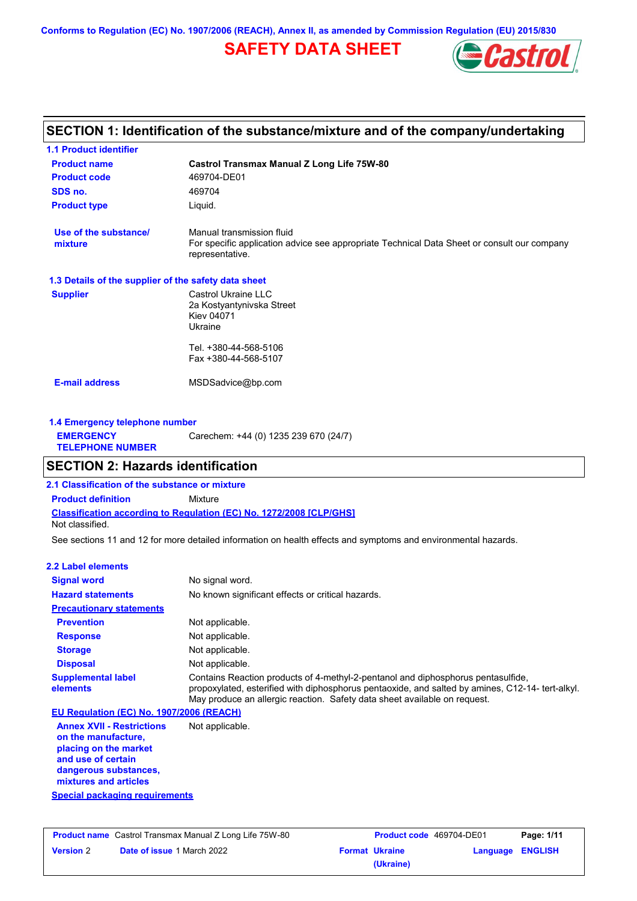**Conforms to Regulation (EC) No. 1907/2006 (REACH), Annex II, as amended by Commission Regulation (EU) 2015/830**

# **SAFETY DATA SHEET**



# **SECTION 1: Identification of the substance/mixture and of the company/undertaking**

| <b>1.1 Product identifier</b>                        |                                                                                                                                             |
|------------------------------------------------------|---------------------------------------------------------------------------------------------------------------------------------------------|
| <b>Product name</b>                                  | <b>Castrol Transmax Manual Z Long Life 75W-80</b>                                                                                           |
| <b>Product code</b>                                  | 469704-DE01                                                                                                                                 |
| SDS no.                                              | 469704                                                                                                                                      |
| <b>Product type</b>                                  | Liquid.                                                                                                                                     |
| Use of the substance/<br>mixture                     | Manual transmission fluid<br>For specific application advice see appropriate Technical Data Sheet or consult our company<br>representative. |
| 1.3 Details of the supplier of the safety data sheet |                                                                                                                                             |
| <b>Supplier</b>                                      | Castrol Ukraine LLC<br>2a Kostyantynivska Street<br><b>Kiev 04071</b><br>Ukraine                                                            |
|                                                      | Tel. +380-44-568-5106<br>Fax +380-44-568-5107                                                                                               |
| <b>E-mail address</b>                                | MSDSadvice@bp.com                                                                                                                           |
| 1.4 Emergency telephone number                       |                                                                                                                                             |
| <b>EMERGENCY</b><br><b>TELEPHONE NUMBER</b>          | Carechem: +44 (0) 1235 239 670 (24/7)                                                                                                       |
| <b>SECTION 2: Hazards identification</b>             |                                                                                                                                             |
| 2.1 Classification of the substance or mixture       |                                                                                                                                             |

**Classification according to Regulation (EC) No. 1272/2008 [CLP/GHS] Product definition** Mixture

Not classified.

See sections 11 and 12 for more detailed information on health effects and symptoms and environmental hazards.

### **2.2 Label elements**

| <b>Signal word</b>                                                                                                                                       | No signal word.                                                                                                                                                                                                                                                   |
|----------------------------------------------------------------------------------------------------------------------------------------------------------|-------------------------------------------------------------------------------------------------------------------------------------------------------------------------------------------------------------------------------------------------------------------|
| <b>Hazard statements</b>                                                                                                                                 | No known significant effects or critical hazards.                                                                                                                                                                                                                 |
| <b>Precautionary statements</b>                                                                                                                          |                                                                                                                                                                                                                                                                   |
| <b>Prevention</b>                                                                                                                                        | Not applicable.                                                                                                                                                                                                                                                   |
| <b>Response</b>                                                                                                                                          | Not applicable.                                                                                                                                                                                                                                                   |
| <b>Storage</b>                                                                                                                                           | Not applicable.                                                                                                                                                                                                                                                   |
| <b>Disposal</b>                                                                                                                                          | Not applicable.                                                                                                                                                                                                                                                   |
| <b>Supplemental label</b><br>elements                                                                                                                    | Contains Reaction products of 4-methyl-2-pentanol and diphosphorus pentasulfide,<br>propoxylated, esterified with diphosphorus pentaoxide, and salted by amines, C12-14- tert-alkyl.<br>May produce an allergic reaction. Safety data sheet available on request. |
| EU Regulation (EC) No. 1907/2006 (REACH)                                                                                                                 |                                                                                                                                                                                                                                                                   |
| <b>Annex XVII - Restrictions</b><br>on the manufacture,<br>placing on the market<br>and use of certain<br>dangerous substances,<br>mixtures and articles | Not applicable.                                                                                                                                                                                                                                                   |

**Special packaging requirements**

| <b>Product name</b> Castrol Transmax Manual Z Long Life 75W-80 |                                   |  | <b>Product code</b> 469704-DE01 | Page: 1/11       |  |
|----------------------------------------------------------------|-----------------------------------|--|---------------------------------|------------------|--|
| <b>Version 2</b>                                               | <b>Date of issue 1 March 2022</b> |  | <b>Format Ukraine</b>           | Language ENGLISH |  |
|                                                                |                                   |  | (Ukraine)                       |                  |  |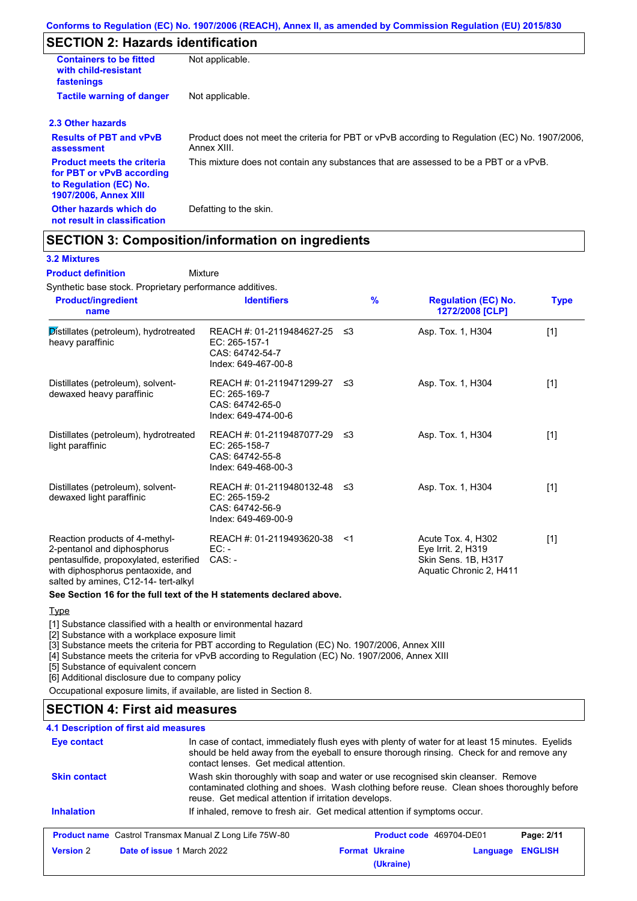# **SECTION 2: Hazards identification**

| <b>Containers to be fitted</b><br>with child-resistant<br>fastenings                                                     | Not applicable.                                                                                               |
|--------------------------------------------------------------------------------------------------------------------------|---------------------------------------------------------------------------------------------------------------|
| <b>Tactile warning of danger</b>                                                                                         | Not applicable.                                                                                               |
| 2.3 Other hazards                                                                                                        |                                                                                                               |
| <b>Results of PBT and vPvB</b><br>assessment                                                                             | Product does not meet the criteria for PBT or vPvB according to Regulation (EC) No. 1907/2006,<br>Annex XIII. |
| <b>Product meets the criteria</b><br>for PBT or vPvB according<br>to Regulation (EC) No.<br><b>1907/2006, Annex XIII</b> | This mixture does not contain any substances that are assessed to be a PBT or a vPvB.                         |
| Other hazards which do<br>not result in classification                                                                   | Defatting to the skin.                                                                                        |

# **SECTION 3: Composition/information on ingredients**

Mixture

### **3.2 Mixtures**

**Product definition**

Synthetic base stock. Proprietary performance additives.

| <b>Product/ingredient</b><br>name                                                                                                                                                    | <b>Identifiers</b>                                                                     |       | $\frac{9}{6}$ | <b>Regulation (EC) No.</b><br>1272/2008 [CLP]                                              | <b>Type</b> |
|--------------------------------------------------------------------------------------------------------------------------------------------------------------------------------------|----------------------------------------------------------------------------------------|-------|---------------|--------------------------------------------------------------------------------------------|-------------|
| Distillates (petroleum), hydrotreated<br>heavy paraffinic                                                                                                                            | REACH #: 01-2119484627-25<br>EC: 265-157-1<br>CAS: 64742-54-7<br>Index: 649-467-00-8   | ≲3    |               | Asp. Tox. 1, H304                                                                          | $[1]$       |
| Distillates (petroleum), solvent-<br>dewaxed heavy paraffinic                                                                                                                        | REACH #: 01-2119471299-27<br>$EC: 265-169-7$<br>CAS: 64742-65-0<br>Index: 649-474-00-6 | ึ ≤3  |               | Asp. Tox. 1, H304                                                                          | [1]         |
| Distillates (petroleum), hydrotreated<br>light paraffinic                                                                                                                            | REACH #: 01-2119487077-29<br>EC: 265-158-7<br>CAS: 64742-55-8<br>Index: 649-468-00-3   | -≤3   |               | Asp. Tox. 1, H304                                                                          | $[1]$       |
| Distillates (petroleum), solvent-<br>dewaxed light paraffinic                                                                                                                        | REACH #: 01-2119480132-48<br>EC: 265-159-2<br>CAS: 64742-56-9<br>Index: 649-469-00-9   | -≤3   |               | Asp. Tox. 1, H304                                                                          | $[1]$       |
| Reaction products of 4-methyl-<br>2-pentanol and diphosphorus<br>pentasulfide, propoxylated, esterified<br>with diphosphorus pentaoxide, and<br>salted by amines, C12-14- tert-alkyl | REACH #: 01-2119493620-38<br>$EC: -$<br>$CAS: -$                                       | $<$ 1 |               | Acute Tox. 4, H302<br>Eye Irrit. 2, H319<br>Skin Sens. 1B, H317<br>Aquatic Chronic 2, H411 | $[1]$       |

**See Section 16 for the full text of the H statements declared above.**

#### **Type**

[1] Substance classified with a health or environmental hazard

[2] Substance with a workplace exposure limit

[3] Substance meets the criteria for PBT according to Regulation (EC) No. 1907/2006, Annex XIII

[4] Substance meets the criteria for vPvB according to Regulation (EC) No. 1907/2006, Annex XIII

[5] Substance of equivalent concern

[6] Additional disclosure due to company policy

Occupational exposure limits, if available, are listed in Section 8.

## **SECTION 4: First aid measures**

### **4.1 Description of first aid measures**

| Eye contact         | contact lenses. Get medical attention.                                                                                                                                                                                                 | In case of contact, immediately flush eyes with plenty of water for at least 15 minutes. Eyelids<br>should be held away from the eyeball to ensure thorough rinsing. Check for and remove any |  |  |
|---------------------|----------------------------------------------------------------------------------------------------------------------------------------------------------------------------------------------------------------------------------------|-----------------------------------------------------------------------------------------------------------------------------------------------------------------------------------------------|--|--|
| <b>Skin contact</b> | Wash skin thoroughly with soap and water or use recognised skin cleanser. Remove<br>contaminated clothing and shoes. Wash clothing before reuse. Clean shoes thoroughly before<br>reuse. Get medical attention if irritation develops. |                                                                                                                                                                                               |  |  |
| <b>Inhalation</b>   | If inhaled, remove to fresh air. Get medical attention if symptoms occur.                                                                                                                                                              |                                                                                                                                                                                               |  |  |
|                     | <b>Product name</b> Castrol Transmax Manual Z Long Life 75W-80<br><b>Product code</b> 469704-DE01<br>Page: 2/11                                                                                                                        |                                                                                                                                                                                               |  |  |
| <b>Version 2</b>    | <b>ENGLISH</b><br><b>Format Ukraine</b><br>Date of issue 1 March 2022<br>Language<br>(Ukraine)                                                                                                                                         |                                                                                                                                                                                               |  |  |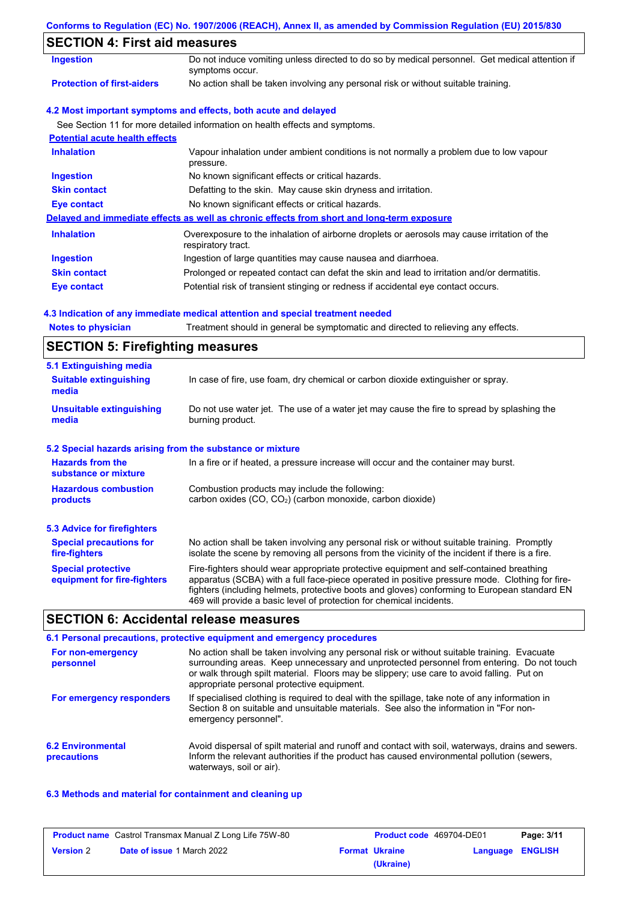| Conforms to Regulation (EC) No. 1907/2006 (REACH), Annex II, as amended by Commission Regulation (EU) 2015/830 |  |  |  |  |
|----------------------------------------------------------------------------------------------------------------|--|--|--|--|
|                                                                                                                |  |  |  |  |

# **SECTION 4: First aid measures**

| SECTION 4. FISL ald measures          |                                                                                                                   |
|---------------------------------------|-------------------------------------------------------------------------------------------------------------------|
| <b>Ingestion</b>                      | Do not induce vomiting unless directed to do so by medical personnel. Get medical attention if<br>symptoms occur. |
| <b>Protection of first-aiders</b>     | No action shall be taken involving any personal risk or without suitable training.                                |
|                                       | 4.2 Most important symptoms and effects, both acute and delayed                                                   |
|                                       | See Section 11 for more detailed information on health effects and symptoms.                                      |
| <b>Potential acute health effects</b> |                                                                                                                   |
| <b>Inhalation</b>                     | Vapour inhalation under ambient conditions is not normally a problem due to low vapour<br>pressure.               |
| <b>Ingestion</b>                      | No known significant effects or critical hazards.                                                                 |
| <b>Skin contact</b>                   | Defatting to the skin. May cause skin dryness and irritation.                                                     |
| Eye contact                           | No known significant effects or critical hazards.                                                                 |
|                                       | Delayed and immediate effects as well as chronic effects from short and long-term exposure                        |
| <b>Inhalation</b>                     | Overexposure to the inhalation of airborne droplets or aerosols may cause irritation of the<br>respiratory tract. |
| <b>Ingestion</b>                      | Ingestion of large quantities may cause nausea and diarrhoea.                                                     |
| <b>Skin contact</b>                   | Prolonged or repeated contact can defat the skin and lead to irritation and/or dermatitis.                        |
| Eye contact                           | Potential risk of transient stinging or redness if accidental eye contact occurs.                                 |

### **4.3 Indication of any immediate medical attention and special treatment needed**

**Notes to physician** Treatment should in general be symptomatic and directed to relieving any effects.

## **SECTION 5: Firefighting measures**

| 5.1 Extinguishing media                                                                                                                                             |                                                                                                                                                                                                                                                                                                                                                                   |  |
|---------------------------------------------------------------------------------------------------------------------------------------------------------------------|-------------------------------------------------------------------------------------------------------------------------------------------------------------------------------------------------------------------------------------------------------------------------------------------------------------------------------------------------------------------|--|
| <b>Suitable extinguishing</b><br>media                                                                                                                              | In case of fire, use foam, dry chemical or carbon dioxide extinguisher or spray.                                                                                                                                                                                                                                                                                  |  |
| <b>Unsuitable extinguishing</b><br>Do not use water jet. The use of a water jet may cause the fire to spread by splashing the<br>burning product.<br>media          |                                                                                                                                                                                                                                                                                                                                                                   |  |
| 5.2 Special hazards arising from the substance or mixture                                                                                                           |                                                                                                                                                                                                                                                                                                                                                                   |  |
| <b>Hazards from the</b><br>substance or mixture                                                                                                                     | In a fire or if heated, a pressure increase will occur and the container may burst.                                                                                                                                                                                                                                                                               |  |
| <b>Hazardous combustion</b><br>Combustion products may include the following:<br>carbon oxides (CO, CO <sub>2</sub> ) (carbon monoxide, carbon dioxide)<br>products |                                                                                                                                                                                                                                                                                                                                                                   |  |
| 5.3 Advice for firefighters                                                                                                                                         |                                                                                                                                                                                                                                                                                                                                                                   |  |
| <b>Special precautions for</b><br>fire-fighters                                                                                                                     | No action shall be taken involving any personal risk or without suitable training. Promptly<br>isolate the scene by removing all persons from the vicinity of the incident if there is a fire.                                                                                                                                                                    |  |
| <b>Special protective</b><br>equipment for fire-fighters                                                                                                            | Fire-fighters should wear appropriate protective equipment and self-contained breathing<br>apparatus (SCBA) with a full face-piece operated in positive pressure mode. Clothing for fire-<br>fighters (including helmets, protective boots and gloves) conforming to European standard EN<br>469 will provide a basic level of protection for chemical incidents. |  |

## **SECTION 6: Accidental release measures**

#### **6.2 Environmental precautions** Avoid dispersal of spilt material and runoff and contact with soil, waterways, drains and sewers. Inform the relevant authorities if the product has caused environmental pollution (sewers, waterways, soil or air). **6.1 Personal precautions, protective equipment and emergency procedures For non-emergency personnel For emergency responders** No action shall be taken involving any personal risk or without suitable training. Evacuate surrounding areas. Keep unnecessary and unprotected personnel from entering. Do not touch or walk through spilt material. Floors may be slippery; use care to avoid falling. Put on appropriate personal protective equipment. If specialised clothing is required to deal with the spillage, take note of any information in Section 8 on suitable and unsuitable materials. See also the information in "For nonemergency personnel".

### **6.3 Methods and material for containment and cleaning up**

|                  | <b>Product name</b> Castrol Transmax Manual Z Long Life 75W-80 | <b>Product code</b> 469704-DE01 |                         | Page: 3/11 |
|------------------|----------------------------------------------------------------|---------------------------------|-------------------------|------------|
| <b>Version 2</b> | <b>Date of issue 1 March 2022</b>                              | <b>Format Ukraine</b>           | <b>Language ENGLISH</b> |            |
|                  |                                                                | (Ukraine)                       |                         |            |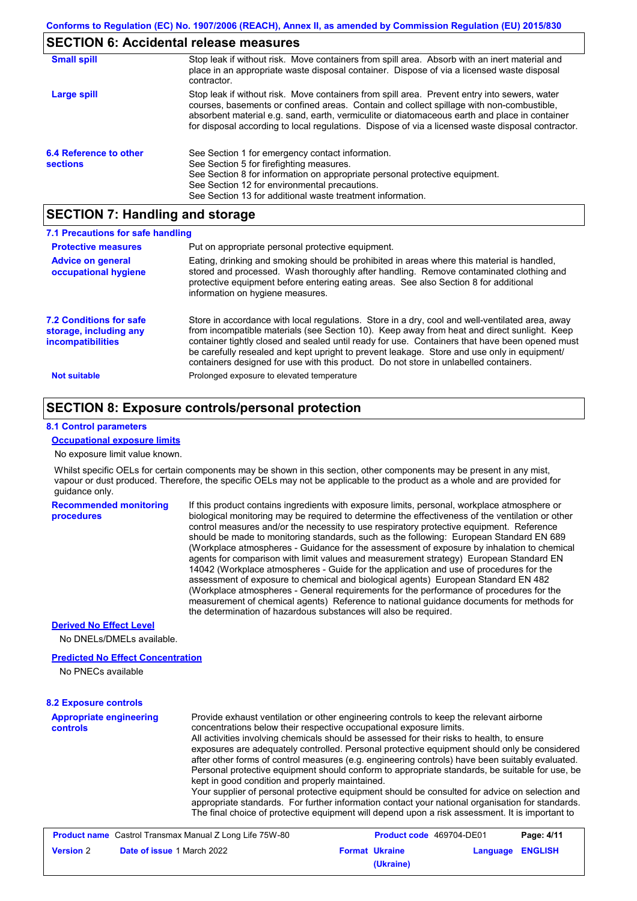## **SECTION 6: Accidental release measures**

| <b>Small spill</b>                        | Stop leak if without risk. Move containers from spill area. Absorb with an inert material and<br>place in an appropriate waste disposal container. Dispose of via a licensed waste disposal<br>contractor.                                                                                                                                                                                     |
|-------------------------------------------|------------------------------------------------------------------------------------------------------------------------------------------------------------------------------------------------------------------------------------------------------------------------------------------------------------------------------------------------------------------------------------------------|
| Large spill                               | Stop leak if without risk. Move containers from spill area. Prevent entry into sewers, water<br>courses, basements or confined areas. Contain and collect spillage with non-combustible,<br>absorbent material e.g. sand, earth, vermiculite or diatomaceous earth and place in container<br>for disposal according to local regulations. Dispose of via a licensed waste disposal contractor. |
| 6.4 Reference to other<br><b>sections</b> | See Section 1 for emergency contact information.<br>See Section 5 for firefighting measures.<br>See Section 8 for information on appropriate personal protective equipment.<br>See Section 12 for environmental precautions.<br>See Section 13 for additional waste treatment information.                                                                                                     |

## **SECTION 7: Handling and storage**

| 7.1 Precautions for safe handling                                             |                                                                                                                                                                                                                                                                                                                                                                                                                                                                                          |
|-------------------------------------------------------------------------------|------------------------------------------------------------------------------------------------------------------------------------------------------------------------------------------------------------------------------------------------------------------------------------------------------------------------------------------------------------------------------------------------------------------------------------------------------------------------------------------|
| <b>Protective measures</b>                                                    | Put on appropriate personal protective equipment.                                                                                                                                                                                                                                                                                                                                                                                                                                        |
| <b>Advice on general</b><br>occupational hygiene                              | Eating, drinking and smoking should be prohibited in areas where this material is handled.<br>stored and processed. Wash thoroughly after handling. Remove contaminated clothing and<br>protective equipment before entering eating areas. See also Section 8 for additional<br>information on hygiene measures.                                                                                                                                                                         |
| 7.2 Conditions for safe<br>storage, including any<br><i>incompatibilities</i> | Store in accordance with local requlations. Store in a dry, cool and well-ventilated area, away<br>from incompatible materials (see Section 10). Keep away from heat and direct sunlight. Keep<br>container tightly closed and sealed until ready for use. Containers that have been opened must<br>be carefully resealed and kept upright to prevent leakage. Store and use only in equipment/<br>containers designed for use with this product. Do not store in unlabelled containers. |
| <b>Not suitable</b>                                                           | Prolonged exposure to elevated temperature                                                                                                                                                                                                                                                                                                                                                                                                                                               |

## **SECTION 8: Exposure controls/personal protection**

### **8.1 Control parameters**

### **Occupational exposure limits**

No exposure limit value known.

Whilst specific OELs for certain components may be shown in this section, other components may be present in any mist, vapour or dust produced. Therefore, the specific OELs may not be applicable to the product as a whole and are provided for guidance only.

**Recommended monitoring procedures**

If this product contains ingredients with exposure limits, personal, workplace atmosphere or biological monitoring may be required to determine the effectiveness of the ventilation or other control measures and/or the necessity to use respiratory protective equipment. Reference should be made to monitoring standards, such as the following: European Standard EN 689 (Workplace atmospheres - Guidance for the assessment of exposure by inhalation to chemical agents for comparison with limit values and measurement strategy) European Standard EN 14042 (Workplace atmospheres - Guide for the application and use of procedures for the assessment of exposure to chemical and biological agents) European Standard EN 482 (Workplace atmospheres - General requirements for the performance of procedures for the measurement of chemical agents) Reference to national guidance documents for methods for the determination of hazardous substances will also be required.

### **Derived No Effect Level**

No DNELs/DMELs available.

### **Predicted No Effect Concentration**

No PNECs available

### **8.2 Exposure controls**

| <b>Appropriate engineering</b><br><b>controls</b> | Provide exhaust ventilation or other engineering controls to keep the relevant airborne<br>concentrations below their respective occupational exposure limits.                                                                                                                                        |
|---------------------------------------------------|-------------------------------------------------------------------------------------------------------------------------------------------------------------------------------------------------------------------------------------------------------------------------------------------------------|
|                                                   | All activities involving chemicals should be assessed for their risks to health, to ensure                                                                                                                                                                                                            |
|                                                   | exposures are adequately controlled. Personal protective equipment should only be considered                                                                                                                                                                                                          |
|                                                   | after other forms of control measures (e.g. engineering controls) have been suitably evaluated.                                                                                                                                                                                                       |
|                                                   | Personal protective equipment should conform to appropriate standards, be suitable for use, be                                                                                                                                                                                                        |
|                                                   | kept in good condition and properly maintained.                                                                                                                                                                                                                                                       |
|                                                   | Your supplier of personal protective equipment should be consulted for advice on selection and<br>appropriate standards. For further information contact your national organisation for standards.<br>The final choice of protective equipment will depend upon a risk assessment. It is important to |
|                                                   |                                                                                                                                                                                                                                                                                                       |

|                  | <b>Product name</b> Castrol Transmax Manual Z Long Life 75W-80 | <b>Product code</b> 469704-DE01 |                  | Page: 4/11 |
|------------------|----------------------------------------------------------------|---------------------------------|------------------|------------|
| <b>Version 2</b> | <b>Date of issue 1 March 2022</b>                              | <b>Format Ukraine</b>           | Language ENGLISH |            |
|                  |                                                                | (Ukraine)                       |                  |            |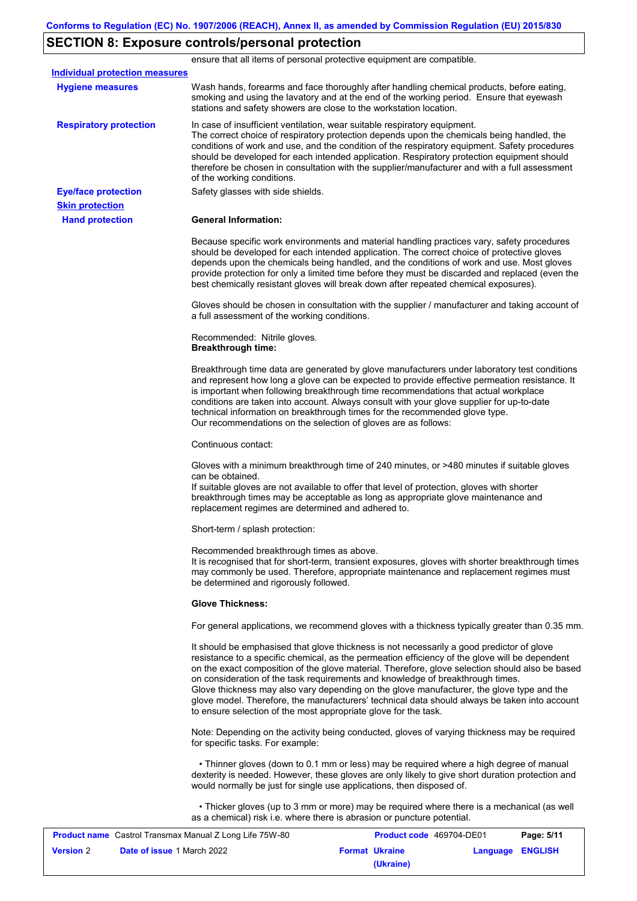## **SECTION 8: Exposure controls/personal protection**

**Hand protection** In case of insufficient ventilation, wear suitable respiratory equipment. The correct choice of respiratory protection depends upon the chemicals being handled, the conditions of work and use, and the condition of the respiratory equipment. Safety procedures should be developed for each intended application. Respiratory protection equipment should therefore be chosen in consultation with the supplier/manufacturer and with a full assessment of the working conditions. **General Information:** Because specific work environments and material handling practices vary, safety procedures should be developed for each intended application. The correct choice of protective gloves depends upon the chemicals being handled, and the conditions of work and use. Most gloves provide protection for only a limited time before they must be discarded and replaced (even the best chemically resistant gloves will break down after repeated chemical exposures). Gloves should be chosen in consultation with the supplier / manufacturer and taking account of a full assessment of the working conditions. Recommended: Nitrile gloves. **Breakthrough time:** Breakthrough time data are generated by glove manufacturers under laboratory test conditions and represent how long a glove can be expected to provide effective permeation resistance. It is important when following breakthrough time recommendations that actual workplace conditions are taken into account. Always consult with your glove supplier for up-to-date technical information on breakthrough times for the recommended glove type. Our recommendations on the selection of gloves are as follows: Continuous contact: Gloves with a minimum breakthrough time of 240 minutes, or >480 minutes if suitable gloves can be obtained. If suitable gloves are not available to offer that level of protection, gloves with shorter breakthrough times may be acceptable as long as appropriate glove maintenance and replacement regimes are determined and adhered to. Short-term / splash protection: Recommended breakthrough times as above. It is recognised that for short-term, transient exposures, gloves with shorter breakthrough times may commonly be used. Therefore, appropriate maintenance and replacement regimes must be determined and rigorously followed. **Glove Thickness:** For general applications, we recommend gloves with a thickness typically greater than 0.35 mm. It should be emphasised that glove thickness is not necessarily a good predictor of glove resistance to a specific chemical, as the permeation efficiency of the glove will be dependent on the exact composition of the glove material. Therefore, glove selection should also be based on consideration of the task requirements and knowledge of breakthrough times. Glove thickness may also vary depending on the glove manufacturer, the glove type and the glove model. Therefore, the manufacturers' technical data should always be taken into account to ensure selection of the most appropriate glove for the task. Note: Depending on the activity being conducted, gloves of varying thickness may be required for specific tasks. For example: • Thinner gloves (down to 0.1 mm or less) may be required where a high degree of manual dexterity is needed. However, these gloves are only likely to give short duration protection and would normally be just for single use applications, then disposed of. • Thicker gloves (up to 3 mm or more) may be required where there is a mechanical (as well as a chemical) risk i.e. where there is abrasion or puncture potential. **Eye/face protection** Safety glasses with side shields. **Respiratory protection Skin protection** ensure that all items of personal protective equipment are compatible. Wash hands, forearms and face thoroughly after handling chemical products, before eating, smoking and using the lavatory and at the end of the working period. Ensure that eyewash stations and safety showers are close to the workstation location. **Hygiene measures Individual protection measures**

|                  | <b>Product name</b> Castrol Transmax Manual Z Long Life 75W-80 | <b>Product code</b> 469704-DE01 |                  | Page: 5/11 |
|------------------|----------------------------------------------------------------|---------------------------------|------------------|------------|
| <b>Version 2</b> | <b>Date of issue 1 March 2022</b>                              | <b>Format Ukraine</b>           | Language ENGLISH |            |
|                  |                                                                | (Ukraine)                       |                  |            |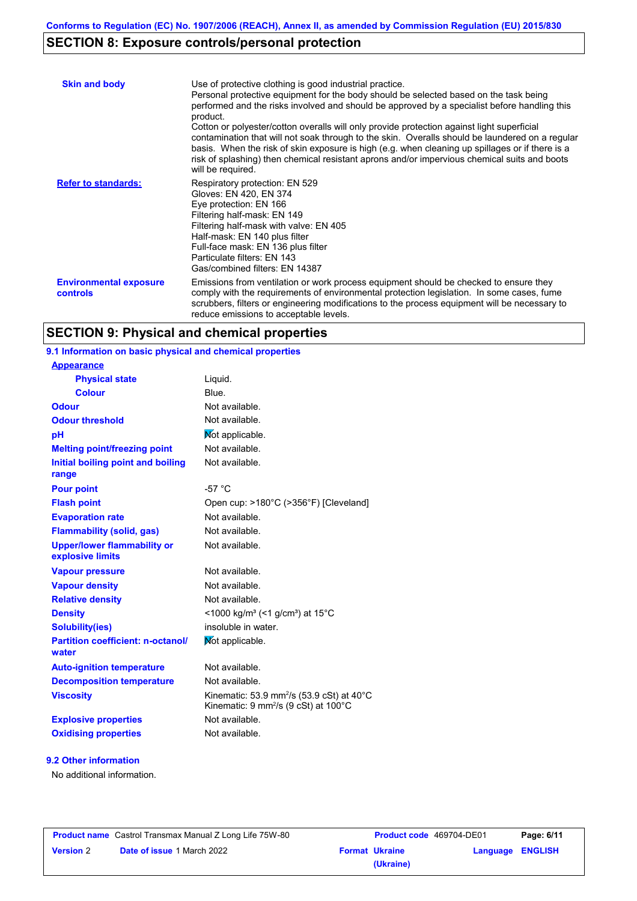# **SECTION 8: Exposure controls/personal protection**

| <b>Skin and body</b>                             | Use of protective clothing is good industrial practice.<br>Personal protective equipment for the body should be selected based on the task being<br>performed and the risks involved and should be approved by a specialist before handling this<br>product.<br>Cotton or polyester/cotton overalls will only provide protection against light superficial<br>contamination that will not soak through to the skin. Overalls should be laundered on a regular<br>basis. When the risk of skin exposure is high (e.g. when cleaning up spillages or if there is a<br>risk of splashing) then chemical resistant aprons and/or impervious chemical suits and boots<br>will be required. |
|--------------------------------------------------|---------------------------------------------------------------------------------------------------------------------------------------------------------------------------------------------------------------------------------------------------------------------------------------------------------------------------------------------------------------------------------------------------------------------------------------------------------------------------------------------------------------------------------------------------------------------------------------------------------------------------------------------------------------------------------------|
| <b>Refer to standards:</b>                       | Respiratory protection: EN 529<br>Gloves: EN 420, EN 374<br>Eye protection: EN 166<br>Filtering half-mask: EN 149<br>Filtering half-mask with valve: EN 405<br>Half-mask: EN 140 plus filter<br>Full-face mask: EN 136 plus filter<br>Particulate filters: EN 143<br>Gas/combined filters: EN 14387                                                                                                                                                                                                                                                                                                                                                                                   |
| <b>Environmental exposure</b><br><b>controls</b> | Emissions from ventilation or work process equipment should be checked to ensure they<br>comply with the requirements of environmental protection legislation. In some cases, fume<br>scrubbers, filters or engineering modifications to the process equipment will be necessary to<br>reduce emissions to acceptable levels.                                                                                                                                                                                                                                                                                                                                                         |

# **SECTION 9: Physical and chemical properties**

| 9.1 Information on basic physical and chemical properties |                                                                 |
|-----------------------------------------------------------|-----------------------------------------------------------------|
| <b>Appearance</b>                                         |                                                                 |
| <b>Physical state</b>                                     | Liquid.                                                         |
| <b>Colour</b>                                             | Blue.                                                           |
| <b>Odour</b>                                              | Not available.                                                  |
| <b>Odour threshold</b>                                    | Not available.                                                  |
| pH                                                        | Not applicable.                                                 |
| <b>Melting point/freezing point</b>                       | Not available.                                                  |
| Initial boiling point and boiling<br>range                | Not available.                                                  |
| <b>Pour point</b>                                         | $-57^{\circ}$ C                                                 |
| <b>Flash point</b>                                        | Open cup: >180°C (>356°F) [Cleveland]                           |
| <b>Evaporation rate</b>                                   | Not available.                                                  |
| <b>Flammability (solid, gas)</b>                          | Not available.                                                  |
| <b>Upper/lower flammability or</b><br>explosive limits    | Not available.                                                  |
| <b>Vapour pressure</b>                                    | Not available.                                                  |
| <b>Vapour density</b>                                     | Not available.                                                  |
| <b>Relative density</b>                                   | Not available.                                                  |
| <b>Density</b>                                            | <1000 kg/m <sup>3</sup> (<1 g/cm <sup>3</sup> ) at 15°C         |
| <b>Solubility(ies)</b>                                    | insoluble in water.                                             |
| <b>Partition coefficient: n-octanol/</b><br>water         | Mot applicable.                                                 |
| <b>Auto-ignition temperature</b>                          | Not available.                                                  |
| <b>Decomposition temperature</b>                          | Not available.                                                  |
| <b>Viscosity</b>                                          | Kinematic: 53.9 mm <sup>2</sup> /s (53.9 cSt) at $40^{\circ}$ C |
|                                                           | Kinematic: 9 mm <sup>2</sup> /s (9 cSt) at 100°C                |
| <b>Explosive properties</b>                               | Not available.                                                  |

## **9.2 Other information**

No additional information.

| <b>Product name</b> Castrol Transmax Manual Z Long Life 75W-80 |                                   | <b>Product code</b> 469704-DE01 |                       | Page: 6/11       |  |
|----------------------------------------------------------------|-----------------------------------|---------------------------------|-----------------------|------------------|--|
| <b>Version 2</b>                                               | <b>Date of issue 1 March 2022</b> |                                 | <b>Format Ukraine</b> | Language ENGLISH |  |
|                                                                |                                   |                                 | (Ukraine)             |                  |  |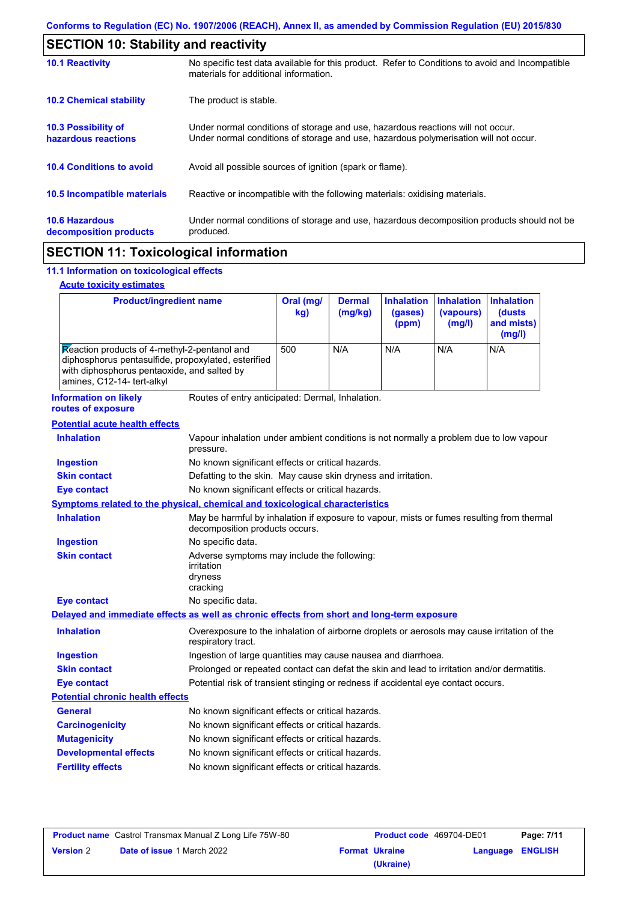| <b>SECTION 10: Stability and reactivity</b>       |                                                                                                                                                                         |  |
|---------------------------------------------------|-------------------------------------------------------------------------------------------------------------------------------------------------------------------------|--|
| <b>10.1 Reactivity</b>                            | No specific test data available for this product. Refer to Conditions to avoid and Incompatible<br>materials for additional information.                                |  |
| <b>10.2 Chemical stability</b>                    | The product is stable.                                                                                                                                                  |  |
| <b>10.3 Possibility of</b><br>hazardous reactions | Under normal conditions of storage and use, hazardous reactions will not occur.<br>Under normal conditions of storage and use, hazardous polymerisation will not occur. |  |
| <b>10.4 Conditions to avoid</b>                   | Avoid all possible sources of ignition (spark or flame).                                                                                                                |  |
| 10.5 Incompatible materials                       | Reactive or incompatible with the following materials: oxidising materials.                                                                                             |  |
| <b>10.6 Hazardous</b><br>decomposition products   | Under normal conditions of storage and use, hazardous decomposition products should not be<br>produced.                                                                 |  |
|                                                   |                                                                                                                                                                         |  |

# **SECTION 11: Toxicological information**

## **11.1 Information on toxicological effects**

## **Acute toxicity estimates**

 $\mathsf{r}$ 

| <b>Product/ingredient name</b>                                                                                                                                                   |                                                                                                                   | Oral (mg/<br>kg)                                                                                                            | <b>Dermal</b><br>(mg/kg) | <b>Inhalation</b><br>(gases)<br>(ppm) | <b>Inhalation</b><br>(vapours)<br>(mg/l) | <b>Inhalation</b><br>(dusts)<br>and mists)<br>(mg/l) |
|----------------------------------------------------------------------------------------------------------------------------------------------------------------------------------|-------------------------------------------------------------------------------------------------------------------|-----------------------------------------------------------------------------------------------------------------------------|--------------------------|---------------------------------------|------------------------------------------|------------------------------------------------------|
| Reaction products of 4-methyl-2-pentanol and<br>diphosphorus pentasulfide, propoxylated, esterified<br>with diphosphorus pentaoxide, and salted by<br>amines, C12-14- tert-alkyl |                                                                                                                   | 500                                                                                                                         | N/A                      | N/A                                   | N/A                                      | N/A                                                  |
| <b>Information on likely</b><br>routes of exposure                                                                                                                               | Routes of entry anticipated: Dermal, Inhalation.                                                                  |                                                                                                                             |                          |                                       |                                          |                                                      |
| <b>Potential acute health effects</b>                                                                                                                                            |                                                                                                                   |                                                                                                                             |                          |                                       |                                          |                                                      |
| <b>Inhalation</b>                                                                                                                                                                | Vapour inhalation under ambient conditions is not normally a problem due to low vapour<br>pressure.               |                                                                                                                             |                          |                                       |                                          |                                                      |
| <b>Ingestion</b>                                                                                                                                                                 | No known significant effects or critical hazards.                                                                 |                                                                                                                             |                          |                                       |                                          |                                                      |
| <b>Skin contact</b>                                                                                                                                                              | Defatting to the skin. May cause skin dryness and irritation.                                                     |                                                                                                                             |                          |                                       |                                          |                                                      |
| <b>Eye contact</b>                                                                                                                                                               |                                                                                                                   | No known significant effects or critical hazards.                                                                           |                          |                                       |                                          |                                                      |
| Symptoms related to the physical, chemical and toxicological characteristics                                                                                                     |                                                                                                                   |                                                                                                                             |                          |                                       |                                          |                                                      |
| <b>Inhalation</b>                                                                                                                                                                |                                                                                                                   | May be harmful by inhalation if exposure to vapour, mists or fumes resulting from thermal<br>decomposition products occurs. |                          |                                       |                                          |                                                      |
| <b>Ingestion</b>                                                                                                                                                                 | No specific data.                                                                                                 |                                                                                                                             |                          |                                       |                                          |                                                      |
| <b>Skin contact</b>                                                                                                                                                              | Adverse symptoms may include the following:<br>irritation<br>dryness<br>cracking                                  |                                                                                                                             |                          |                                       |                                          |                                                      |
| <b>Eye contact</b>                                                                                                                                                               | No specific data.                                                                                                 |                                                                                                                             |                          |                                       |                                          |                                                      |
| Delayed and immediate effects as well as chronic effects from short and long-term exposure                                                                                       |                                                                                                                   |                                                                                                                             |                          |                                       |                                          |                                                      |
| <b>Inhalation</b>                                                                                                                                                                | Overexposure to the inhalation of airborne droplets or aerosols may cause irritation of the<br>respiratory tract. |                                                                                                                             |                          |                                       |                                          |                                                      |
| <b>Ingestion</b>                                                                                                                                                                 |                                                                                                                   | Ingestion of large quantities may cause nausea and diarrhoea.                                                               |                          |                                       |                                          |                                                      |
| <b>Skin contact</b>                                                                                                                                                              | Prolonged or repeated contact can defat the skin and lead to irritation and/or dermatitis.                        |                                                                                                                             |                          |                                       |                                          |                                                      |
| <b>Eye contact</b>                                                                                                                                                               | Potential risk of transient stinging or redness if accidental eye contact occurs.                                 |                                                                                                                             |                          |                                       |                                          |                                                      |
| <b>Potential chronic health effects</b>                                                                                                                                          |                                                                                                                   |                                                                                                                             |                          |                                       |                                          |                                                      |
| General                                                                                                                                                                          | No known significant effects or critical hazards.                                                                 |                                                                                                                             |                          |                                       |                                          |                                                      |
| <b>Carcinogenicity</b>                                                                                                                                                           | No known significant effects or critical hazards.                                                                 |                                                                                                                             |                          |                                       |                                          |                                                      |
| <b>Mutagenicity</b>                                                                                                                                                              | No known significant effects or critical hazards.                                                                 |                                                                                                                             |                          |                                       |                                          |                                                      |
| <b>Developmental effects</b>                                                                                                                                                     | No known significant effects or critical hazards.                                                                 |                                                                                                                             |                          |                                       |                                          |                                                      |
| <b>Fertility effects</b>                                                                                                                                                         | No known significant effects or critical hazards.                                                                 |                                                                                                                             |                          |                                       |                                          |                                                      |

| <b>Product name</b> Castrol Transmax Manual Z Long Life 75W-80 |                                   | <b>Product code</b> 469704-DE01 |                       | Page: 7/11              |  |
|----------------------------------------------------------------|-----------------------------------|---------------------------------|-----------------------|-------------------------|--|
| <b>Version 2</b>                                               | <b>Date of issue 1 March 2022</b> |                                 | <b>Format Ukraine</b> | <b>Language ENGLISH</b> |  |
|                                                                |                                   |                                 | (Ukraine)             |                         |  |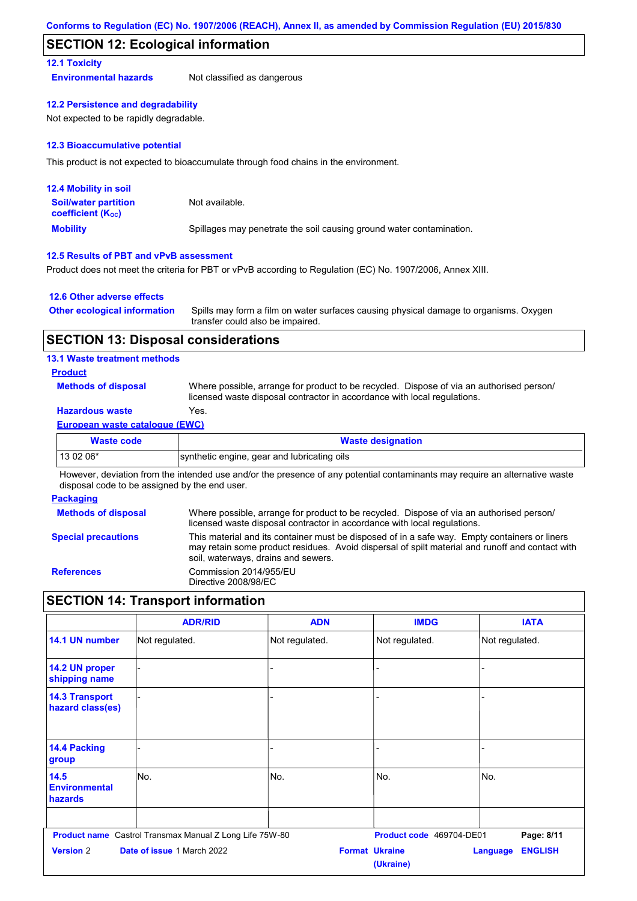## **SECTION 12: Ecological information**

## **12.1 Toxicity**

**Environmental hazards** Not classified as dangerous

**12.2 Persistence and degradability**

Not expected to be rapidly degradable.

### **12.3 Bioaccumulative potential**

This product is not expected to bioaccumulate through food chains in the environment.

| <b>12.4 Mobility in soil</b>                                  |                                                                      |
|---------------------------------------------------------------|----------------------------------------------------------------------|
| <b>Soil/water partition</b><br>coefficient (K <sub>oc</sub> ) | Not available.                                                       |
| <b>Mobility</b>                                               | Spillages may penetrate the soil causing ground water contamination. |

### **12.5 Results of PBT and vPvB assessment**

Product does not meet the criteria for PBT or vPvB according to Regulation (EC) No. 1907/2006, Annex XIII.

### **12.6 Other adverse effects**

| <b>Other ecological information</b> | Spills may form a film on water surfaces causing physical damage to organisms. Oxygen |
|-------------------------------------|---------------------------------------------------------------------------------------|
|                                     | transfer could also be impaired.                                                      |

## **SECTION 13: Disposal considerations**

### **13.1 Waste treatment methods**

**Product**

**Methods of disposal**

Where possible, arrange for product to be recycled. Dispose of via an authorised person/ licensed waste disposal contractor in accordance with local regulations.

## **Hazardous waste** Yes.

### **European waste catalogue (EWC)**

| <b>Waste code</b> | <b>Waste designation</b>                    |  |
|-------------------|---------------------------------------------|--|
| 13 02 06*         | synthetic engine, gear and lubricating oils |  |

However, deviation from the intended use and/or the presence of any potential contaminants may require an alternative waste disposal code to be assigned by the end user.

### **Packaging**

| <b>Methods of disposal</b> | Where possible, arrange for product to be recycled. Dispose of via an authorised person/<br>licensed waste disposal contractor in accordance with local regulations.                                                                    |
|----------------------------|-----------------------------------------------------------------------------------------------------------------------------------------------------------------------------------------------------------------------------------------|
| <b>Special precautions</b> | This material and its container must be disposed of in a safe way. Empty containers or liners<br>may retain some product residues. Avoid dispersal of spilt material and runoff and contact with<br>soil, waterways, drains and sewers. |
| <b>References</b>          | Commission 2014/955/EU<br>Directive 2008/98/EC                                                                                                                                                                                          |

# **SECTION 14: Transport information**

|                                           | <b>ADR/RID</b>                                                 | <b>ADN</b>     | <b>IMDG</b>                        | <b>IATA</b>                       |
|-------------------------------------------|----------------------------------------------------------------|----------------|------------------------------------|-----------------------------------|
| 14.1 UN number                            | Not regulated.                                                 | Not regulated. | Not regulated.                     | Not regulated.                    |
| 14.2 UN proper<br>shipping name           |                                                                |                |                                    |                                   |
| <b>14.3 Transport</b><br>hazard class(es) |                                                                |                |                                    |                                   |
| <b>14.4 Packing</b><br>group              |                                                                |                |                                    |                                   |
| 14.5<br><b>Environmental</b><br>hazards   | No.                                                            | No.            | No.                                | No.                               |
|                                           | <b>Product name</b> Castrol Transmax Manual Z Long Life 75W-80 |                | Product code 469704-DE01           | Page: 8/11                        |
| <b>Version 2</b>                          | Date of issue 1 March 2022                                     |                | <b>Format Ukraine</b><br>(Ukraine) | <b>ENGLISH</b><br><b>Language</b> |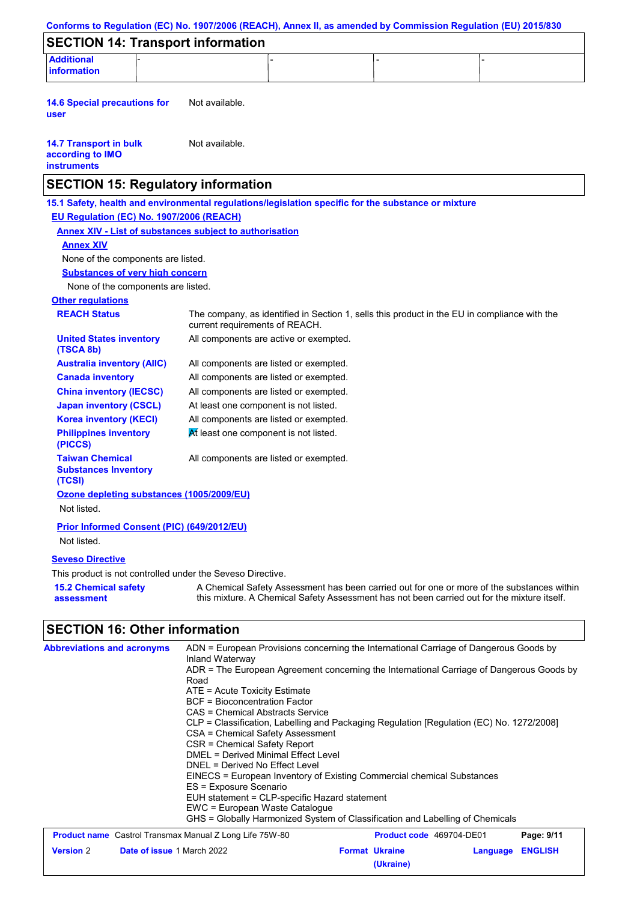|                                                                           |                                          | Conforms to Regulation (EC) No. 1907/2006 (REACH), Annex II, as amended by Commission Regulation (EU) 2015/830 |                                                                                                     |                                      |                              |
|---------------------------------------------------------------------------|------------------------------------------|----------------------------------------------------------------------------------------------------------------|-----------------------------------------------------------------------------------------------------|--------------------------------------|------------------------------|
|                                                                           |                                          | <b>SECTION 14: Transport information</b>                                                                       |                                                                                                     |                                      |                              |
| <b>Additional</b><br><b>information</b>                                   |                                          |                                                                                                                |                                                                                                     |                                      |                              |
| <b>14.6 Special precautions for</b><br>user                               |                                          | Not available.                                                                                                 |                                                                                                     |                                      |                              |
| <b>14.7 Transport in bulk</b><br>according to IMO<br><b>instruments</b>   |                                          | Not available.                                                                                                 |                                                                                                     |                                      |                              |
|                                                                           |                                          | <b>SECTION 15: Regulatory information</b>                                                                      |                                                                                                     |                                      |                              |
|                                                                           |                                          |                                                                                                                | 15.1 Safety, health and environmental regulations/legislation specific for the substance or mixture |                                      |                              |
|                                                                           | EU Regulation (EC) No. 1907/2006 (REACH) |                                                                                                                |                                                                                                     |                                      |                              |
|                                                                           |                                          | <b>Annex XIV - List of substances subject to authorisation</b>                                                 |                                                                                                     |                                      |                              |
| <b>Annex XIV</b>                                                          |                                          |                                                                                                                |                                                                                                     |                                      |                              |
|                                                                           | None of the components are listed.       |                                                                                                                |                                                                                                     |                                      |                              |
|                                                                           | <b>Substances of very high concern</b>   |                                                                                                                |                                                                                                     |                                      |                              |
|                                                                           | None of the components are listed.       |                                                                                                                |                                                                                                     |                                      |                              |
| <b>Other regulations</b>                                                  |                                          |                                                                                                                |                                                                                                     |                                      |                              |
| <b>REACH Status</b><br><b>United States inventory</b>                     |                                          | current requirements of REACH.<br>All components are active or exempted.                                       | The company, as identified in Section 1, sells this product in the EU in compliance with the        |                                      |                              |
| (TSCA 8b)                                                                 |                                          |                                                                                                                |                                                                                                     |                                      |                              |
| <b>Australia inventory (AIIC)</b>                                         |                                          | All components are listed or exempted.                                                                         |                                                                                                     |                                      |                              |
| <b>Canada inventory</b>                                                   |                                          | All components are listed or exempted.                                                                         |                                                                                                     |                                      |                              |
| <b>China inventory (IECSC)</b>                                            |                                          | All components are listed or exempted.                                                                         |                                                                                                     |                                      |                              |
| <b>Japan inventory (CSCL)</b>                                             |                                          | At least one component is not listed.                                                                          |                                                                                                     |                                      |                              |
| <b>Korea inventory (KECI)</b>                                             |                                          | All components are listed or exempted.                                                                         |                                                                                                     |                                      |                              |
| <b>Philippines inventory</b><br>(PICCS)                                   |                                          | At least one component is not listed.                                                                          |                                                                                                     |                                      |                              |
| <b>Taiwan Chemical</b><br><b>Substances Inventory</b><br>(TCSI)           |                                          | All components are listed or exempted.                                                                         |                                                                                                     |                                      |                              |
| Not listed.                                                               |                                          | Ozone depleting substances (1005/2009/EU)                                                                      |                                                                                                     |                                      |                              |
| Not listed.                                                               |                                          | Prior Informed Consent (PIC) (649/2012/EU)                                                                     |                                                                                                     |                                      |                              |
| <b>Seveso Directive</b>                                                   |                                          |                                                                                                                |                                                                                                     |                                      |                              |
|                                                                           |                                          | This product is not controlled under the Seveso Directive.                                                     |                                                                                                     |                                      |                              |
|                                                                           |                                          |                                                                                                                | A Chemical Safety Assessment has been carried out for one or more of the substances within          |                                      |                              |
| <b>15.2 Chemical safety</b><br>assessment                                 |                                          | this mixture. A Chemical Safety Assessment has not been carried out for the mixture itself.                    |                                                                                                     |                                      |                              |
|                                                                           |                                          |                                                                                                                |                                                                                                     |                                      |                              |
| <b>SECTION 16: Other information</b><br><b>Abbreviations and acronyms</b> |                                          | Inland Waterway                                                                                                | ADN = European Provisions concerning the International Carriage of Dangerous Goods by               |                                      |                              |
|                                                                           |                                          | Road                                                                                                           | ADR = The European Agreement concerning the International Carriage of Dangerous Goods by            |                                      |                              |
|                                                                           |                                          | ATE = Acute Toxicity Estimate<br><b>BCF</b> = Bioconcentration Factor                                          |                                                                                                     |                                      |                              |
|                                                                           |                                          | <b>CAS = Chemical Abstracts Service</b>                                                                        |                                                                                                     |                                      |                              |
|                                                                           |                                          |                                                                                                                | CLP = Classification, Labelling and Packaging Regulation [Regulation (EC) No. 1272/2008]            |                                      |                              |
|                                                                           |                                          | CSA = Chemical Safety Assessment<br><b>CSR = Chemical Safety Report</b>                                        |                                                                                                     |                                      |                              |
|                                                                           |                                          | <b>DMEL = Derived Minimal Effect Level</b>                                                                     |                                                                                                     |                                      |                              |
|                                                                           |                                          | DNEL = Derived No Effect Level                                                                                 | EINECS = European Inventory of Existing Commercial chemical Substances                              |                                      |                              |
|                                                                           |                                          | ES = Exposure Scenario                                                                                         |                                                                                                     |                                      |                              |
|                                                                           |                                          | EUH statement = CLP-specific Hazard statement                                                                  |                                                                                                     |                                      |                              |
|                                                                           |                                          | EWC = European Waste Catalogue                                                                                 |                                                                                                     |                                      |                              |
|                                                                           |                                          |                                                                                                                | GHS = Globally Harmonized System of Classification and Labelling of Chemicals                       |                                      |                              |
| <b>Version 2</b>                                                          | Date of issue 1 March 2022               | <b>Product name</b> Castrol Transmax Manual Z Long Life 75W-80                                                 | <b>Format Ukraine</b>                                                                               | Product code 469704-DE01<br>Language | Page: 9/11<br><b>ENGLISH</b> |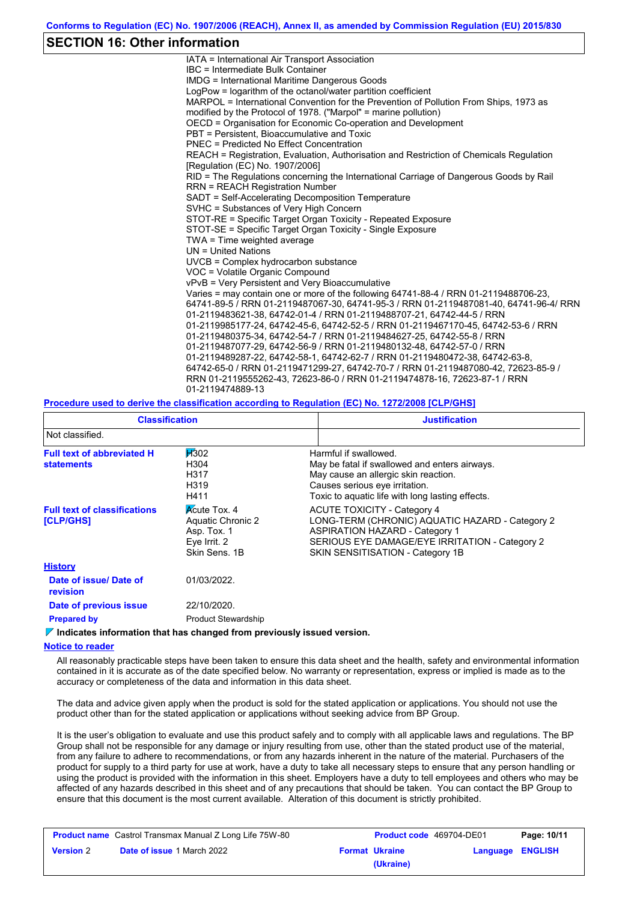## **SECTION 16: Other information**

IATA = International Air Transport Association IBC = Intermediate Bulk Container IMDG = International Maritime Dangerous Goods LogPow = logarithm of the octanol/water partition coefficient MARPOL = International Convention for the Prevention of Pollution From Ships, 1973 as modified by the Protocol of 1978. ("Marpol" = marine pollution) OECD = Organisation for Economic Co-operation and Development PBT = Persistent, Bioaccumulative and Toxic PNEC = Predicted No Effect Concentration REACH = Registration, Evaluation, Authorisation and Restriction of Chemicals Regulation [Regulation (EC) No. 1907/2006] RID = The Regulations concerning the International Carriage of Dangerous Goods by Rail RRN = REACH Registration Number SADT = Self-Accelerating Decomposition Temperature SVHC = Substances of Very High Concern STOT-RE = Specific Target Organ Toxicity - Repeated Exposure STOT-SE = Specific Target Organ Toxicity - Single Exposure TWA = Time weighted average UN = United Nations UVCB = Complex hydrocarbon substance VOC = Volatile Organic Compound vPvB = Very Persistent and Very Bioaccumulative Varies = may contain one or more of the following 64741-88-4 / RRN 01-2119488706-23, 64741-89-5 / RRN 01-2119487067-30, 64741-95-3 / RRN 01-2119487081-40, 64741-96-4/ RRN 01-2119483621-38, 64742-01-4 / RRN 01-2119488707-21, 64742-44-5 / RRN 01-2119985177-24, 64742-45-6, 64742-52-5 / RRN 01-2119467170-45, 64742-53-6 / RRN 01-2119480375-34, 64742-54-7 / RRN 01-2119484627-25, 64742-55-8 / RRN 01-2119487077-29, 64742-56-9 / RRN 01-2119480132-48, 64742-57-0 / RRN 01-2119489287-22, 64742-58-1, 64742-62-7 / RRN 01-2119480472-38, 64742-63-8, 64742-65-0 / RRN 01-2119471299-27, 64742-70-7 / RRN 01-2119487080-42, 72623-85-9 / RRN 01-2119555262-43, 72623-86-0 / RRN 01-2119474878-16, 72623-87-1 / RRN 01-2119474889-13

### **Procedure used to derive the classification according to Regulation (EC) No. 1272/2008 [CLP/GHS]**

| <b>Classification</b>                                                                                  |                                                                                          | <b>Justification</b>                                                                                                                                                                                                 |  |  |  |  |
|--------------------------------------------------------------------------------------------------------|------------------------------------------------------------------------------------------|----------------------------------------------------------------------------------------------------------------------------------------------------------------------------------------------------------------------|--|--|--|--|
| Not classified.                                                                                        |                                                                                          |                                                                                                                                                                                                                      |  |  |  |  |
| <b>H</b> 302<br><b>Full text of abbreviated H</b><br>H304<br><b>statements</b><br>H317<br>H319<br>H411 |                                                                                          | Harmful if swallowed.<br>May be fatal if swallowed and enters airways.<br>May cause an allergic skin reaction.<br>Causes serious eye irritation.<br>Toxic to aguatic life with long lasting effects.                 |  |  |  |  |
| <b>Full text of classifications</b><br>[CLP/GHS]                                                       | <b>Acute Tox. 4</b><br>Aquatic Chronic 2<br>Asp. Tox. 1<br>Eye Irrit. 2<br>Skin Sens, 1B | <b>ACUTE TOXICITY - Category 4</b><br>LONG-TERM (CHRONIC) AQUATIC HAZARD - Category 2<br><b>ASPIRATION HAZARD - Category 1</b><br>SERIOUS EYE DAMAGE/EYE IRRITATION - Category 2<br>SKIN SENSITISATION - Category 1B |  |  |  |  |
| <b>History</b>                                                                                         |                                                                                          |                                                                                                                                                                                                                      |  |  |  |  |
| Date of issue/ Date of<br><b>revision</b>                                                              | 01/03/2022.                                                                              |                                                                                                                                                                                                                      |  |  |  |  |
| Date of previous issue                                                                                 | 22/10/2020.                                                                              |                                                                                                                                                                                                                      |  |  |  |  |
| <b>Prepared by</b>                                                                                     | <b>Product Stewardship</b>                                                               |                                                                                                                                                                                                                      |  |  |  |  |

## **Indicates information that has changed from previously issued version.**

#### **Notice to reader**

All reasonably practicable steps have been taken to ensure this data sheet and the health, safety and environmental information contained in it is accurate as of the date specified below. No warranty or representation, express or implied is made as to the accuracy or completeness of the data and information in this data sheet.

The data and advice given apply when the product is sold for the stated application or applications. You should not use the product other than for the stated application or applications without seeking advice from BP Group.

It is the user's obligation to evaluate and use this product safely and to comply with all applicable laws and regulations. The BP Group shall not be responsible for any damage or injury resulting from use, other than the stated product use of the material, from any failure to adhere to recommendations, or from any hazards inherent in the nature of the material. Purchasers of the product for supply to a third party for use at work, have a duty to take all necessary steps to ensure that any person handling or using the product is provided with the information in this sheet. Employers have a duty to tell employees and others who may be affected of any hazards described in this sheet and of any precautions that should be taken. You can contact the BP Group to ensure that this document is the most current available. Alteration of this document is strictly prohibited.

| <b>Product name</b> Castrol Transmax Manual Z Long Life 75W-80 |                                   | <b>Product code</b> 469704-DE01 |                       | Page: 10/11             |  |
|----------------------------------------------------------------|-----------------------------------|---------------------------------|-----------------------|-------------------------|--|
| <b>Version 2</b>                                               | <b>Date of issue 1 March 2022</b> |                                 | <b>Format Ukraine</b> | <b>Language ENGLISH</b> |  |
|                                                                |                                   |                                 | (Ukraine)             |                         |  |